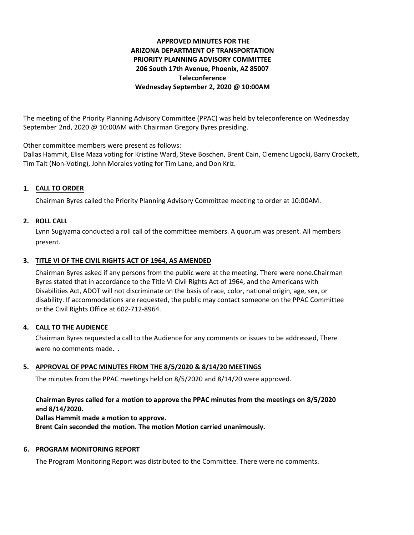# **APPROVED MINUTES FOR THE ARIZONA DEPARTMENT OF TRANSPORTATION PRIORITY PLANNING ADVISORY COMMITTEE 206 South 17th Avenue, Phoenix, AZ 85007 Teleconference Wednesday September 2, 2020 @ 10:00AM**

The meeting of the Priority Planning Advisory Committee (PPAC) was held by teleconference on Wednesday September 2nd, 2020 @ 10:00AM with Chairman Gregory Byres presiding.

Other committee members were present as follows:

Dallas Hammit, Elise Maza voting for Kristine Ward, Steve Boschen, Brent Cain, Clemenc Ligocki, Barry Crockett, Tim Tait (Non-Voting), John Morales voting for Tim Lane, and Don Kriz.

## **CALL TO ORDER 1.**

Chairman Byres called the Priority Planning Advisory Committee meeting to order at 10:00AM.

### **ROLL CALL 2.**

Lynn Sugiyama conducted a roll call of the committee members. A quorum was present. All members present.

# **TITLE VI OF THE CIVIL RIGHTS ACT OF 1964, AS AMENDED 3.**

Chairman Byres asked if any persons from the public were at the meeting. There were none.Chairman Byres stated that in accordance to the Title VI Civil Rights Act of 1964, and the Americans with Disabilities Act, ADOT will not discriminate on the basis of race, color, national origin, age, sex, or disability. If accommodations are requested, the public may contact someone on the PPAC Committee or the Civil Rights Office at 602-712-8964.

#### **CALL TO THE AUDIENCE 4.**

Chairman Byres requested a call to the Audience for any comments or issues to be addressed, There were no comments made. .

## **APPROVAL OF PPAC MINUTES FROM THE 8/5/2020 & 8/14/20 MEETINGS 5.**

The minutes from the PPAC meetings held on 8/5/2020 and 8/14/20 were approved.

### **Chairman Byres called for a motion to approve the PPAC minutes from the meetings on 8/5/2020 and 8/14/2020.**

**Dallas Hammit made a motion to approve.**

**Brent Cain seconded the motion. The motion Motion carried unanimously.**

#### **6. PROGRAM MONITORING REPORT**

The Program Monitoring Report was distributed to the Committee. There were no comments.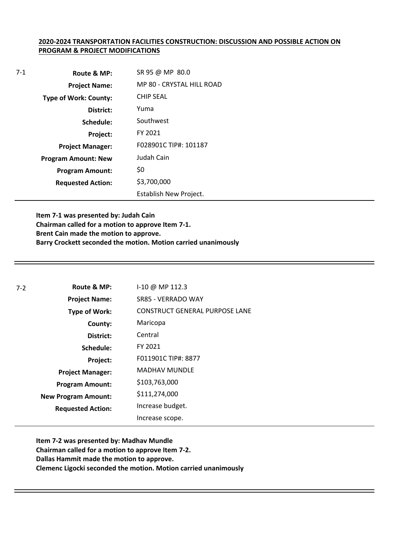#### **2020-2024 TRANSPORTATION FACILITIES CONSTRUCTION: DISCUSSION AND POSSIBLE ACTION ON PROGRAM & PROJECT MODIFICATIONS**

| $7-1$ | Route & MP:                  | SR 95 @ MP 80.0           |
|-------|------------------------------|---------------------------|
|       | <b>Project Name:</b>         | MP 80 - CRYSTAL HILL ROAD |
|       | <b>Type of Work: County:</b> | <b>CHIP SEAL</b>          |
|       | District:                    | Yuma                      |
|       | Schedule:                    | Southwest                 |
|       | Project:                     | FY 2021                   |
|       | <b>Project Manager:</b>      | F028901C TIP#: 101187     |
|       | <b>Program Amount: New</b>   | Judah Cain                |
|       | <b>Program Amount:</b>       | \$0                       |
|       | <b>Requested Action:</b>     | \$3,700,000               |
|       |                              | Establish New Project.    |

**Item 7-1 was presented by: Judah Cain Chairman called for a motion to approve Item 7-1. Brent Cain made the motion to approve. Barry Crockett seconded the motion. Motion carried unanimously**

| $7-2$ | Route & MP:                | I-10 @ MP 112.3                       |
|-------|----------------------------|---------------------------------------|
|       | <b>Project Name:</b>       | SR85 - VERRADO WAY                    |
|       | <b>Type of Work:</b>       | <b>CONSTRUCT GENERAL PURPOSE LANE</b> |
|       | County:                    | Maricopa                              |
|       | District:                  | Central                               |
|       | Schedule:                  | FY 2021                               |
|       | Project:                   | F011901C TIP#: 8877                   |
|       | <b>Project Manager:</b>    | <b>MADHAV MUNDLE</b>                  |
|       | <b>Program Amount:</b>     | \$103,763,000                         |
|       | <b>New Program Amount:</b> | \$111,274,000                         |
|       | <b>Requested Action:</b>   | Increase budget.                      |
|       |                            | Increase scope.                       |

**Item 7-2 was presented by: Madhav Mundle Chairman called for a motion to approve Item 7-2. Dallas Hammit made the motion to approve. Clemenc Ligocki seconded the motion. Motion carried unanimously**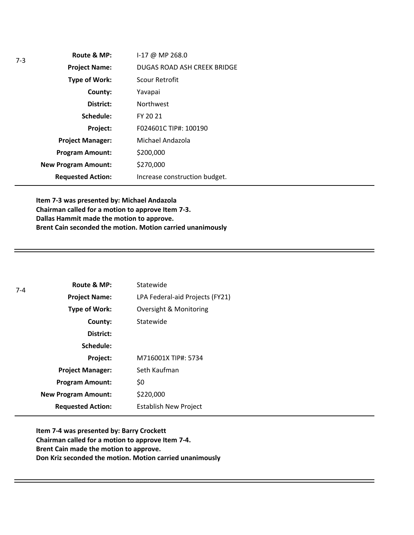**Route & MP: County: District: Schedule: Project Name: Type of Work: Project Manager: Project: Requested Action: New Program Amount: Program Amount:** I-17 @ MP 268.0 DUGAS ROAD ASH CREEK BRIDGE Scour Retrofit Yavapai Northwest FY 20 21 F024601C TIP#: 100190 Michael Andazola \$200,000 \$270,000 Increase construction budget.

**Item 7-3 was presented by: Michael Andazola Chairman called for a motion to approve Item 7-3. Dallas Hammit made the motion to approve. Brent Cain seconded the motion. Motion carried unanimously**

| $7 - 4$ | Route & MP:                | Statewide                       |
|---------|----------------------------|---------------------------------|
|         | <b>Project Name:</b>       | LPA Federal-aid Projects (FY21) |
|         | Type of Work:              | Oversight & Monitoring          |
|         | County:                    | Statewide                       |
|         | District:                  |                                 |
|         | Schedule:                  |                                 |
|         | Project:                   | M716001X TIP#: 5734             |
|         | <b>Project Manager:</b>    | Seth Kaufman                    |
|         | <b>Program Amount:</b>     | \$0                             |
|         | <b>New Program Amount:</b> | \$220,000                       |
|         | <b>Requested Action:</b>   | <b>Establish New Project</b>    |

**Item 7-4 was presented by: Barry Crockett Chairman called for a motion to approve Item 7-4. Brent Cain made the motion to approve. Don Kriz seconded the motion. Motion carried unanimously**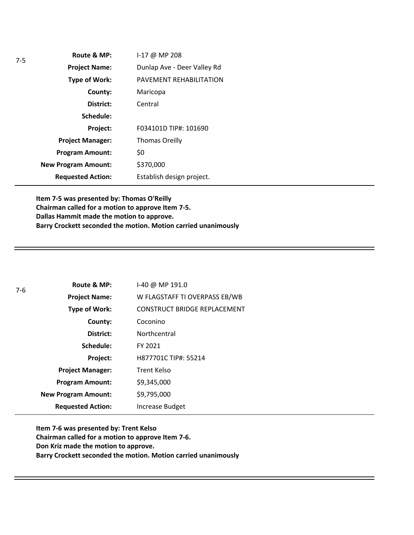| Route & MP:                | $1-17$ @ MP 208             |
|----------------------------|-----------------------------|
| <b>Project Name:</b>       | Dunlap Ave - Deer Valley Rd |
| <b>Type of Work:</b>       | PAVEMENT REHABILITATION     |
| County:                    | Maricopa                    |
| District:                  | Central                     |
| Schedule:                  |                             |
| Project:                   | F034101D TIP#: 101690       |
| <b>Project Manager:</b>    | <b>Thomas Oreilly</b>       |
| <b>Program Amount:</b>     | \$0                         |
| <b>New Program Amount:</b> | \$370,000                   |
| <b>Requested Action:</b>   | Establish design project.   |

**Item 7-5 was presented by: Thomas O'Reilly Chairman called for a motion to approve Item 7-5. Dallas Hammit made the motion to approve. Barry Crockett seconded the motion. Motion carried unanimously**

| 7-6 | Route & MP:                | I-40 @ MP 191.0                     |
|-----|----------------------------|-------------------------------------|
|     | <b>Project Name:</b>       | W FLAGSTAFF TI OVERPASS EB/WB       |
|     | <b>Type of Work:</b>       | <b>CONSTRUCT BRIDGE REPLACEMENT</b> |
|     | County:                    | Coconino                            |
|     | District:                  | Northcentral                        |
|     | Schedule:                  | FY 2021                             |
|     | Project:                   | H877701C TIP#: 55214                |
|     | <b>Project Manager:</b>    | <b>Trent Kelso</b>                  |
|     | <b>Program Amount:</b>     | \$9,345,000                         |
|     | <b>New Program Amount:</b> | \$9,795,000                         |
|     | <b>Requested Action:</b>   | Increase Budget                     |

**Item 7-6 was presented by: Trent Kelso Chairman called for a motion to approve Item 7-6. Don Kriz made the motion to approve. Barry Crockett seconded the motion. Motion carried unanimously**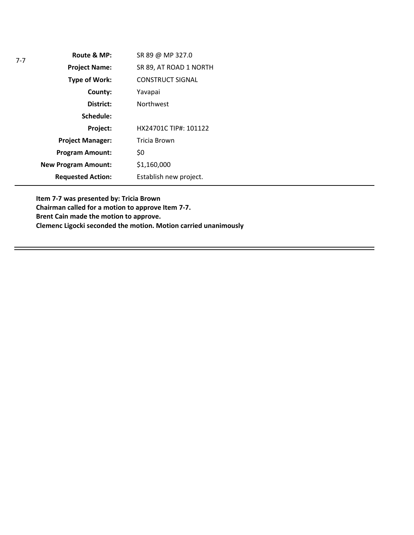| Route & MP:                | SR 89 @ MP 327.0        |
|----------------------------|-------------------------|
| <b>Project Name:</b>       | SR 89, AT ROAD 1 NORTH  |
| <b>Type of Work:</b>       | <b>CONSTRUCT SIGNAL</b> |
| County:                    | Yavapai                 |
| District:                  | <b>Northwest</b>        |
| Schedule:                  |                         |
| Project:                   | HX24701C TIP#: 101122   |
| <b>Project Manager:</b>    | Tricia Brown            |
| <b>Program Amount:</b>     | \$0                     |
| <b>New Program Amount:</b> | \$1,160,000             |
| <b>Requested Action:</b>   | Establish new project.  |

7-7

**Item 7-7 was presented by: Tricia Brown Chairman called for a motion to approve Item 7-7. Brent Cain made the motion to approve. Clemenc Ligocki seconded the motion. Motion carried unanimously**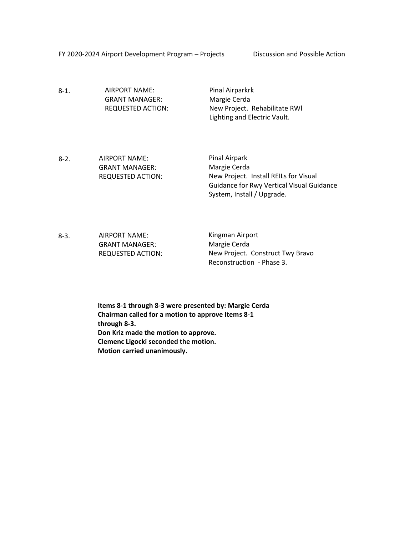FY 2020-2024 Airport Development Program – Projects Discussion and Possible Action

8-1. AIRPORT NAME: GRANT MANAGER: REQUESTED ACTION:

Pinal Airparkrk Margie Cerda New Project. Rehabilitate RWl Lighting and Electric Vault.

- 8-2. AIRPORT NAME: GRANT MANAGER: REQUESTED ACTION: Pinal Airpark Margie Cerda New Project. Install REILs for Visual Guidance for Rwy Vertical Visual Guidance System, Install / Upgrade.
- 8-3. AIRPORT NAME: GRANT MANAGER: REQUESTED ACTION: Kingman Airport Margie Cerda New Project. Construct Twy Bravo Reconstruction - Phase 3.
	- **Items 8-1 through 8-3 were presented by: Margie Cerda Chairman called for a motion to approve Items 8-1 through 8-3. Don Kriz made the motion to approve. Clemenc Ligocki seconded the motion. Motion carried unanimously.**